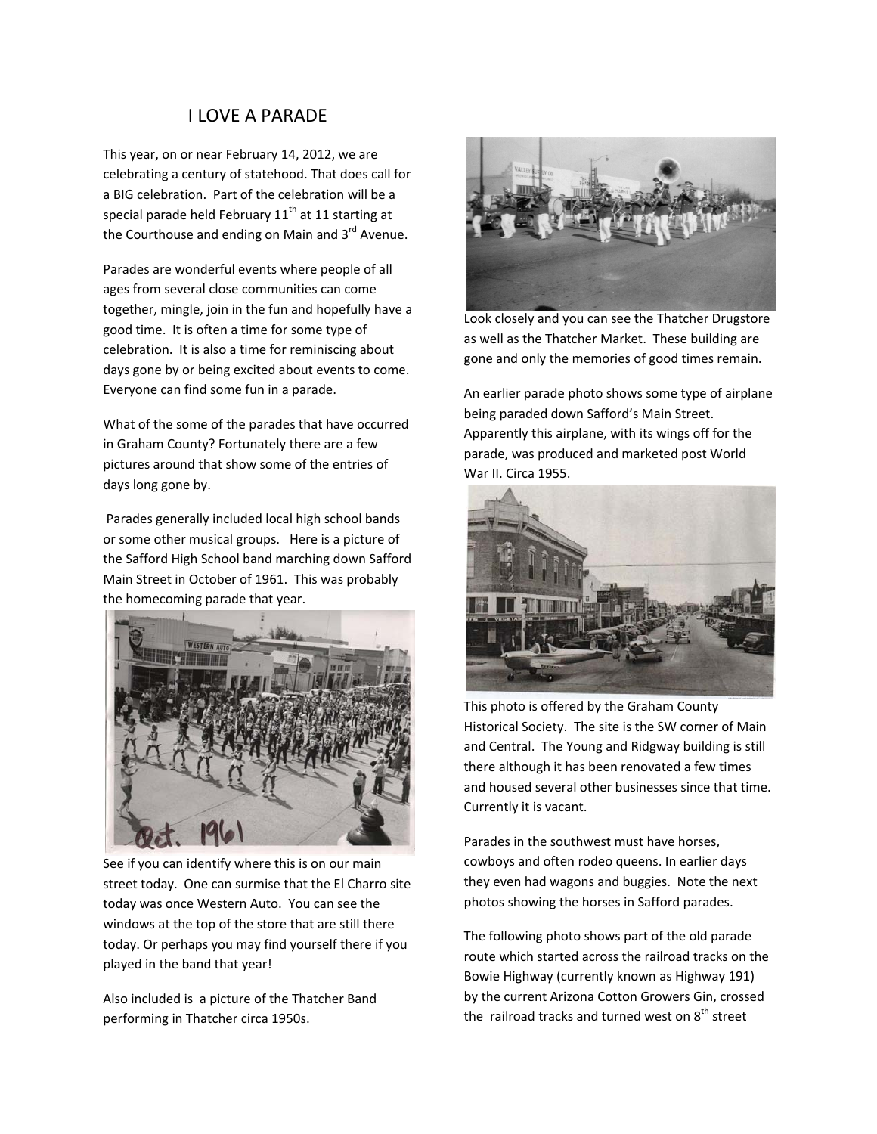## I LOVE A PARADE

This year, on or near February 14, 2012, we are celebrating a century of statehood. That does call for a BIG celebration. Part of the celebration will be a special parade held February  $11<sup>th</sup>$  at 11 starting at the Courthouse and ending on Main and  $3<sup>rd</sup>$  Avenue.

Parades are wonderful events where people of all ages from several close communities can come together, mingle, join in the fun and hopefully have a good time. It is often a time for some type of celebration. It is also a time for reminiscing about days gone by or being excited about events to come. Everyone can find some fun in a parade.

What of the some of the parades that have occurred in Graham County? Fortunately there are a few pictures around that show some of the entries of days long gone by.

Parades generally included local high school bands or some other musical groups. Here is a picture of the Safford High School band marching down Safford Main Street in October of 1961. This was probably the homecoming parade that year.



See if you can identify where this is on our main street today. One can surmise that the El Charro site today was once Western Auto. You can see the windows at the top of the store that are still there today. Or perhaps you may find yourself there if you played in the band that year!

Also included is a picture of the Thatcher Band performing in Thatcher circa 1950s.



Look closely and you can see the Thatcher Drugstore as well as the Thatcher Market. These building are gone and only the memories of good times remain.

An earlier parade photo shows some type of airplane being paraded down Safford's Main Street. Apparently this airplane, with its wings off for the parade, was produced and marketed post World War II. Circa 1955.



This photo is offered by the Graham County Historical Society. The site is the SW corner of Main and Central. The Young and Ridgway building is still there although it has been renovated a few times and housed several other businesses since that time. Currently it is vacant.

Parades in the southwest must have horses, cowboys and often rodeo queens. In earlier days they even had wagons and buggies. Note the next photos showing the horses in Safford parades.

The following photo shows part of the old parade route which started across the railroad tracks on the Bowie Highway (currently known as Highway 191) by the current Arizona Cotton Growers Gin, crossed the railroad tracks and turned west on  $8<sup>th</sup>$  street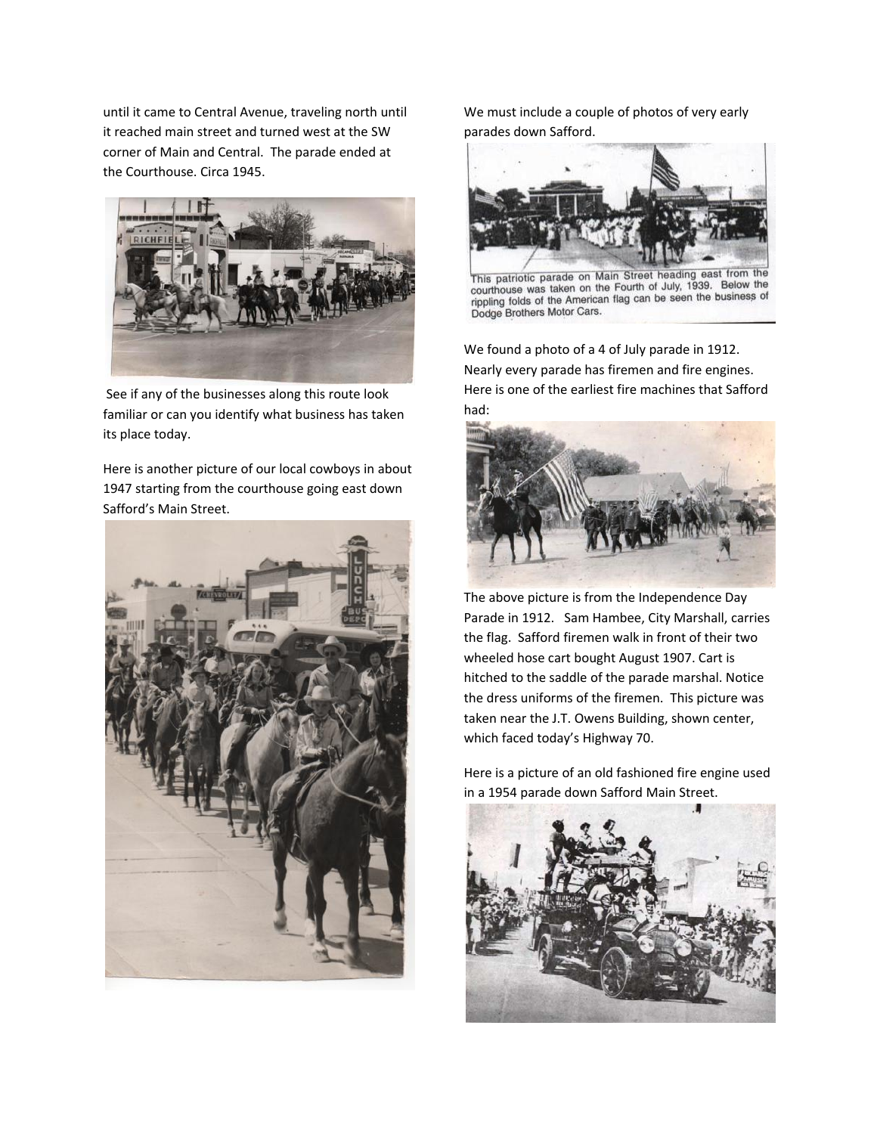until it came to Central Avenue, traveling north until it reached main street and turned west at the SW corner of Main and Central. The parade ended at the Courthouse. Circa 1945.



See if any of the businesses along this route look familiar or can you identify what business has taken its place today.

Here is another picture of our local cowboys in about 1947 starting from the courthouse going east down Safford's Main Street.



We must include a couple of photos of very early parades down Safford.



This patriotic parade on Main Street heading east from the courthouse was taken on the Fourth of July, 1939. Below the courthouse was taken on the Pound of Suy, 1999. Doctor, pripling folds of the American flag can be seen the business of Dodge Brothers Motor Cars.

We found a photo of a 4 of July parade in 1912. Nearly every parade has firemen and fire engines. Here is one of the earliest fire machines that Safford had:



The above picture is from the Independence Day Parade in 1912. Sam Hambee, City Marshall, carries the flag. Safford firemen walk in front of their two wheeled hose cart bought August 1907. Cart is hitched to the saddle of the parade marshal. Notice the dress uniforms of the firemen. This picture was taken near the J.T. Owens Building, shown center, which faced today's Highway 70.

Here is a picture of an old fashioned fire engine used in a 1954 parade down Safford Main Street.

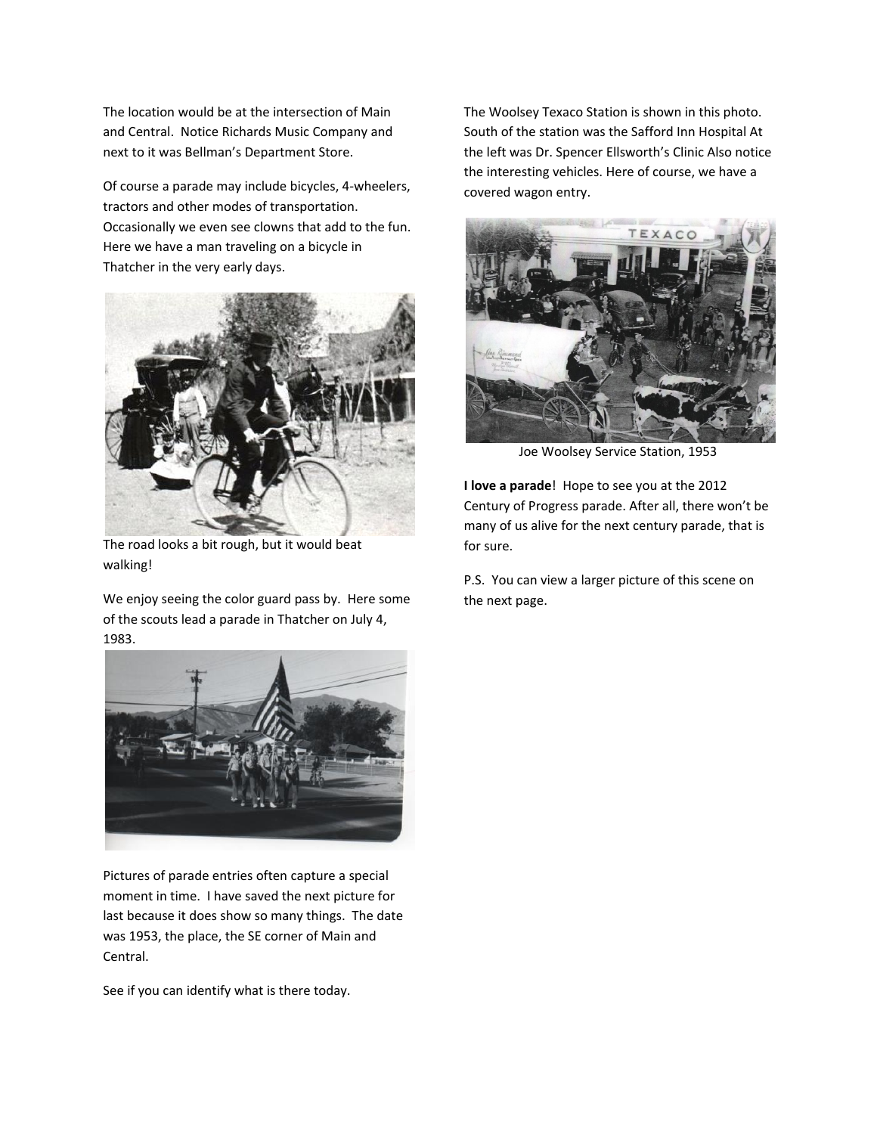The location would be at the intersection of Main and Central. Notice Richards Music Company and next to it was Bellman's Department Store.

Of course a parade may include bicycles, 4‐wheelers, tractors and other modes of transportation. Occasionally we even see clowns that add to the fun. Here we have a man traveling on a bicycle in Thatcher in the very early days.



The road looks a bit rough, but it would beat walking!

We enjoy seeing the color guard pass by. Here some of the scouts lead a parade in Thatcher on July 4, 1983.



Pictures of parade entries often capture a special moment in time. I have saved the next picture for last because it does show so many things. The date was 1953, the place, the SE corner of Main and Central.

See if you can identify what is there today.

The Woolsey Texaco Station is shown in this photo. South of the station was the Safford Inn Hospital At the left was Dr. Spencer Ellsworth's Clinic Also notice the interesting vehicles. Here of course, we have a covered wagon entry.



Joe Woolsey Service Station, 1953

**I love a parade**! Hope to see you at the 2012 Century of Progress parade. After all, there won't be many of us alive for the next century parade, that is for sure.

P.S. You can view a larger picture of this scene on the next page.